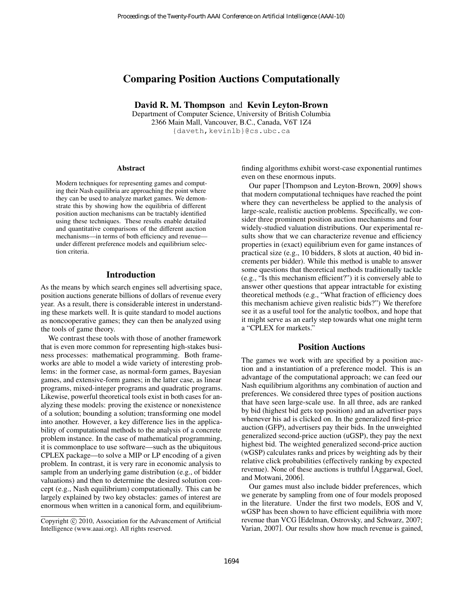# Comparing Position Auctions Computationally

David R. M. Thompson and Kevin Leyton-Brown

Department of Computer Science, University of British Columbia 2366 Main Mall, Vancouver, B.C., Canada, V6T 1Z4 {daveth,kevinlb}@cs.ubc.ca

#### Abstract

Modern techniques for representing games and computing their Nash equilibria are approaching the point where they can be used to analyze market games. We demonstrate this by showing how the equilibria of different position auction mechanisms can be tractably identified using these techniques. These results enable detailed and quantitative comparisons of the different auction mechanisms—in terms of both efficiency and revenue under different preference models and equilibrium selection criteria.

### Introduction

As the means by which search engines sell advertising space, position auctions generate billions of dollars of revenue every year. As a result, there is considerable interest in understanding these markets well. It is quite standard to model auctions as noncooperative games; they can then be analyzed using the tools of game theory.

We contrast these tools with those of another framework that is even more common for representing high-stakes business processes: mathematical programming. Both frameworks are able to model a wide variety of interesting problems: in the former case, as normal-form games, Bayesian games, and extensive-form games; in the latter case, as linear programs, mixed-integer programs and quadratic programs. Likewise, powerful theoretical tools exist in both cases for analyzing these models: proving the existence or nonexistence of a solution; bounding a solution; transforming one model into another. However, a key difference lies in the applicability of computational methods to the analysis of a concrete problem instance. In the case of mathematical programming, it is commonplace to use software—such as the ubiquitous CPLEX package—to solve a MIP or LP encoding of a given problem. In contrast, it is very rare in economic analysis to sample from an underlying game distribution (e.g., of bidder valuations) and then to determine the desired solution concept (e.g., Nash equilibrium) computationally. This can be largely explained by two key obstacles: games of interest are enormous when written in a canonical form, and equilibrium-Proceedings of the Twenty-Fourth AAAI Conference on Artificial Intelligence (AAA1-10)<br> **David R. M. Thompson and Kevin Leyton-Brown**<br>
Department of Computer Science, University of Fideish Columbia<br>
2366 Main Mall, Vancouv

finding algorithms exhibit worst-case exponential runtimes even on these enormous inputs.

Our paper [Thompson and Leyton-Brown, 2009] shows that modern computational techniques have reached the point where they can nevertheless be applied to the analysis of large-scale, realistic auction problems. Specifically, we consider three prominent position auction mechanisms and four widely-studied valuation distributions. Our experimental results show that we can characterize revenue and efficiency properties in (exact) equilibrium even for game instances of practical size (e.g., 10 bidders, 8 slots at auction, 40 bid increments per bidder). While this method is unable to answer some questions that theoretical methods traditionally tackle (e.g., "Is this mechanism efficient?") it is conversely able to answer other questions that appear intractable for existing theoretical methods (e.g., "What fraction of efficiency does this mechanism achieve given realistic bids?") We therefore see it as a useful tool for the analytic toolbox, and hope that it might serve as an early step towards what one might term a "CPLEX for markets."

#### Position Auctions

The games we work with are specified by a position auction and a instantiation of a preference model. This is an advantage of the computational approach; we can feed our Nash equilibrium algorithms any combination of auction and preferences. We considered three types of position auctions that have seen large-scale use. In all three, ads are ranked by bid (highest bid gets top position) and an advertiser pays whenever his ad is clicked on. In the generalized first-price auction (GFP), advertisers pay their bids. In the unweighted generalized second-price auction (uGSP), they pay the next highest bid. The weighted generalized second-price auction (wGSP) calculates ranks and prices by weighting ads by their relative click probabilities (effectively ranking by expected revenue). None of these auctions is truthful [Aggarwal, Goel, and Motwani, 2006].

Our games must also include bidder preferences, which we generate by sampling from one of four models proposed in the literature. Under the first two models, EOS and V, wGSP has been shown to have efficient equilibria with more revenue than VCG [Edelman, Ostrovsky, and Schwarz, 2007; Varian, 2007]. Our results show how much revenue is gained,

Copyright © 2010, Association for the Advancement of Artificial Intelligence (www.aaai.org). All rights reserved.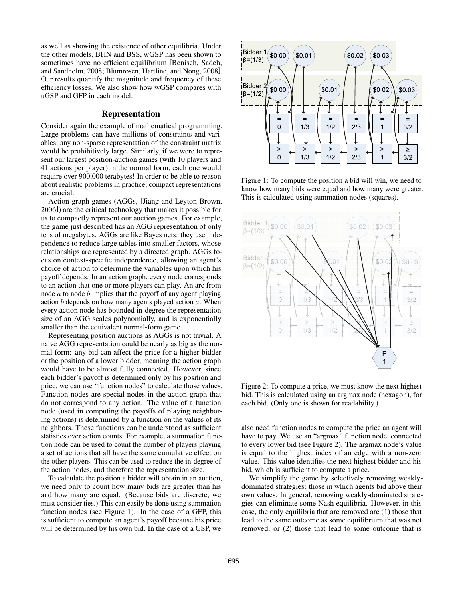as well as showing the existence of other equilibria. Under the other models, BHN and BSS, wGSP has been shown to sometimes have no efficient equilibrium [Benisch, Sadeh, and Sandholm, 2008; Blumrosen, Hartline, and Nong, 2008]. Our results quantify the magnitude and frequency of these efficiency losses. We also show how wGSP compares with uGSP and GFP in each model.

### Representation

Consider again the example of mathematical programming. Large problems can have millions of constraints and variables; any non-sparse representation of the constraint matrix would be prohibitively large. Similarly, if we were to represent our largest position-auction games (with 10 players and 41 actions per player) in the normal form, each one would require over 900,000 terabytes! In order to be able to reason about realistic problems in practice, compact representations are crucial.

Action graph games (AGGs, [Jiang and Leyton-Brown, 2006]) are the critical technology that makes it possible for us to compactly represent our auction games. For example, the game just described has an AGG representation of only tens of megabytes. AGGs are like Bayes nets: they use independence to reduce large tables into smaller factors, whose relationships are represented by a directed graph. AGGs focus on context-specific independence, allowing an agent's choice of action to determine the variables upon which his payoff depends. In an action graph, every node corresponds to an action that one or more players can play. An arc from node  $\alpha$  to node  $\delta$  implies that the payoff of any agent playing action  $b$  depends on how many agents played action  $a$ . When every action node has bounded in-degree the representation size of an AGG scales polynomially, and is exponentially smaller than the equivalent normal-form game.

Representing position auctions as AGGs is not trivial. A naive AGG representation could be nearly as big as the normal form: any bid can affect the price for a higher bidder or the position of a lower bidder, meaning the action graph would have to be almost fully connected. However, since each bidder's payoff is determined only by his position and price, we can use "function nodes" to calculate those values. Function nodes are special nodes in the action graph that do not correspond to any action. The value of a function node (used in computing the payoffs of playing neighboring actions) is determined by a function on the values of its neighbors. These functions can be understood as sufficient statistics over action counts. For example, a summation function node can be used to count the number of players playing a set of actions that all have the same cumulative effect on the other players. This can be used to reduce the in-degree of the action nodes, and therefore the representation size.

To calculate the position a bidder will obtain in an auction, we need only to count how many bids are greater than his and how many are equal. (Because bids are discrete, we must consider ties.) This can easily be done using summation function nodes (see Figure 1). In the case of a GFP, this is sufficient to compute an agent's payoff because his price will be determined by his own bid. In the case of a GSP, we



Figure 1: To compute the position a bid will win, we need to know how many bids were equal and how many were greater. This is calculated using summation nodes (squares).



Figure 2: To compute a price, we must know the next highest bid. This is calculated using an argmax node (hexagon), for each bid. (Only one is shown for readability.)

also need function nodes to compute the price an agent will have to pay. We use an "argmax" function node, connected to every lower bid (see Figure 2). The argmax node's value is equal to the highest index of an edge with a non-zero value. This value identifies the next highest bidder and his bid, which is sufficient to compute a price.

We simplify the game by selectively removing weaklydominated strategies: those in which agents bid above their own values. In general, removing weakly-dominated strategies can eliminate some Nash equilibria. However, in this case, the only equilibria that are removed are (1) those that lead to the same outcome as some equilibrium that was not removed, or (2) those that lead to some outcome that is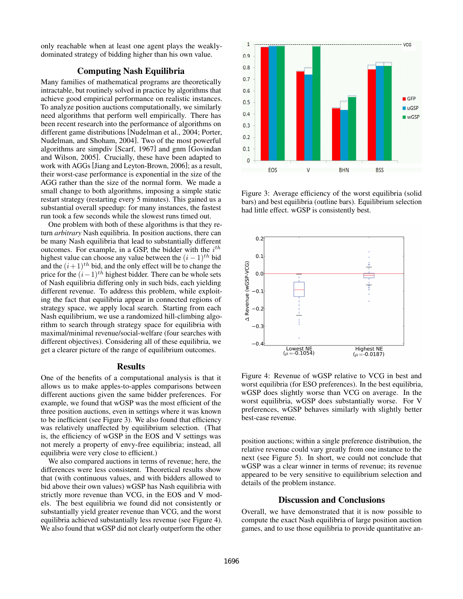only reachable when at least one agent plays the weaklydominated strategy of bidding higher than his own value.

## Computing Nash Equilibria

Many families of mathematical programs are theoretically intractable, but routinely solved in practice by algorithms that achieve good empirical performance on realistic instances. To analyze position auctions computationally, we similarly need algorithms that perform well empirically. There has been recent research into the performance of algorithms on different game distributions [Nudelman et al., 2004; Porter, Nudelman, and Shoham, 2004]. Two of the most powerful algorithms are simpdiv [Scarf, 1967] and gnm [Govindan and Wilson, 2005]. Crucially, these have been adapted to work with AGGs [Jiang and Leyton-Brown, 2006]; as a result, their worst-case performance is exponential in the size of the AGG rather than the size of the normal form. We made a small change to both algorithms, imposing a simple static restart strategy (restarting every 5 minutes). This gained us a substantial overall speedup: for many instances, the fastest run took a few seconds while the slowest runs timed out.

One problem with both of these algorithms is that they return *arbitrary* Nash equilibria. In position auctions, there can be many Nash equilibria that lead to substantially different outcomes. For example, in a GSP, the bidder with the  $i^{th}$ highest value can choose any value between the  $(i - 1)$ <sup>th</sup> bid and the  $(i+1)^{th}$  bid, and the only effect will be to change the price for the  $(i-1)^{th}$  highest bidder. There can be whole sets of Nash equilibria differing only in such bids, each yielding different revenue. To address this problem, while exploiting the fact that equilibria appear in connected regions of strategy space, we apply local search. Starting from each Nash equilibrium, we use a randomized hill-climbing algorithm to search through strategy space for equilibria with maximal/minimal revenue/social-welfare (four searches with different objectives). Considering all of these equilibria, we get a clearer picture of the range of equilibrium outcomes.

#### Results

One of the benefits of a computational analysis is that it allows us to make apples-to-apples comparisons between different auctions given the same bidder preferences. For example, we found that wGSP was the most efficient of the three position auctions, even in settings where it was known to be inefficient (see Figure 3). We also found that efficiency was relatively unaffected by equilibrium selection. (That is, the efficiency of wGSP in the EOS and V settings was not merely a property of envy-free equilibria; instead, all equilibria were very close to efficient.)

We also compared auctions in terms of revenue; here, the differences were less consistent. Theoretical results show that (with continuous values, and with bidders allowed to bid above their own values) wGSP has Nash equilibria with strictly more revenue than VCG, in the EOS and V models. The best equilibria we found did not consistently or substantially yield greater revenue than VCG, and the worst equilibria achieved substantially less revenue (see Figure 4). We also found that wGSP did not clearly outperform the other



Figure 3: Average efficiency of the worst equilibria (solid bars) and best equilibria (outline bars). Equilibrium selection had little effect. wGSP is consistently best.



Figure 4: Revenue of wGSP relative to VCG in best and worst equilibria (for ESO preferences). In the best equilibria, wGSP does slightly worse than VCG on average. In the worst equilibria, wGSP does substantially worse. For V preferences, wGSP behaves similarly with slightly better best-case revenue.

position auctions; within a single preference distribution, the relative revenue could vary greatly from one instance to the next (see Figure 5). In short, we could not conclude that wGSP was a clear winner in terms of revenue; its revenue appeared to be very sensitive to equilibrium selection and details of the problem instance.

## Discussion and Conclusions

Overall, we have demonstrated that it is now possible to compute the exact Nash equilibria of large position auction games, and to use those equilibria to provide quantitative an-